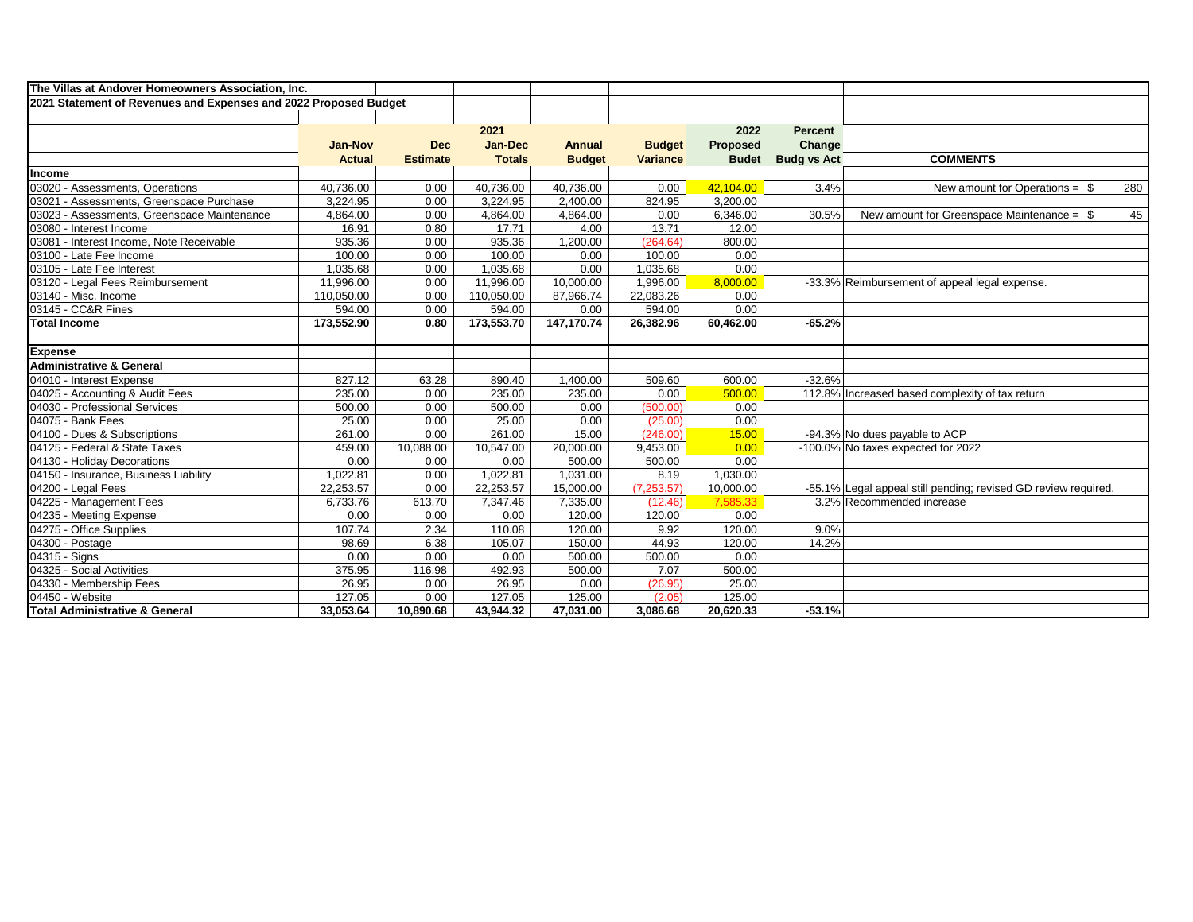| The Villas at Andover Homeowners Association, Inc.               |                |                 |                |               |                 |                 |                    |                                                                |     |
|------------------------------------------------------------------|----------------|-----------------|----------------|---------------|-----------------|-----------------|--------------------|----------------------------------------------------------------|-----|
| 2021 Statement of Revenues and Expenses and 2022 Proposed Budget |                |                 |                |               |                 |                 |                    |                                                                |     |
|                                                                  |                |                 |                |               |                 |                 |                    |                                                                |     |
|                                                                  |                |                 | 2021           |               |                 | 2022            | <b>Percent</b>     |                                                                |     |
|                                                                  | <b>Jan-Nov</b> | <b>Dec</b>      | <b>Jan-Dec</b> | <b>Annual</b> | <b>Budget</b>   | <b>Proposed</b> | Change             |                                                                |     |
|                                                                  | <b>Actual</b>  | <b>Estimate</b> | <b>Totals</b>  | <b>Budget</b> | <b>Variance</b> | <b>Budet</b>    | <b>Budg vs Act</b> | <b>COMMENTS</b>                                                |     |
| Income                                                           |                |                 |                |               |                 |                 |                    |                                                                |     |
| 03020 - Assessments, Operations                                  | 40,736.00      | 0.00            | 40,736.00      | 40,736.00     | 0.00            | 42,104.00       | 3.4%               | New amount for Operations $=$ \$                               | 280 |
| 03021 - Assessments, Greenspace Purchase                         | 3.224.95       | 0.00            | 3,224.95       | 2,400.00      | 824.95          | 3,200.00        |                    |                                                                |     |
| 03023 - Assessments, Greenspace Maintenance                      | 4,864.00       | 0.00            | 4,864.00       | 4,864.00      | 0.00            | 6,346.00        | 30.5%              | New amount for Greenspace Maintenance = $\frac{1}{3}$          | 45  |
| 03080 - Interest Income                                          | 16.91          | 0.80            | 17.71          | 4.00          | 13.71           | 12.00           |                    |                                                                |     |
| 03081 - Interest Income, Note Receivable                         | 935.36         | 0.00            | 935.36         | 1,200.00      | (264.64)        | 800.00          |                    |                                                                |     |
| 03100 - Late Fee Income                                          | 100.00         | 0.00            | 100.00         | 0.00          | 100.00          | 0.00            |                    |                                                                |     |
| 03105 - Late Fee Interest                                        | 1.035.68       | 0.00            | 1.035.68       | 0.00          | 1,035.68        | 0.00            |                    |                                                                |     |
| 03120 - Legal Fees Reimbursement                                 | 11,996.00      | 0.00            | 11,996.00      | 10,000.00     | 1,996.00        | 8,000.00        |                    | -33.3% Reimbursement of appeal legal expense.                  |     |
| 03140 - Misc. Income                                             | 110,050.00     | 0.00            | 110,050.00     | 87,966.74     | 22,083.26       | 0.00            |                    |                                                                |     |
| 03145 - CC&R Fines                                               | 594.00         | 0.00            | 594.00         | 0.00          | 594.00          | 0.00            |                    |                                                                |     |
| <b>Total Income</b>                                              | 173,552.90     | 0.80            | 173,553.70     | 147,170.74    | 26,382.96       | 60,462.00       | $-65.2%$           |                                                                |     |
|                                                                  |                |                 |                |               |                 |                 |                    |                                                                |     |
| <b>Expense</b>                                                   |                |                 |                |               |                 |                 |                    |                                                                |     |
| <b>Administrative &amp; General</b>                              |                |                 |                |               |                 |                 |                    |                                                                |     |
| 04010 - Interest Expense                                         | 827.12         | 63.28           | 890.40         | 1,400.00      | 509.60          | 600.00          | $-32.6%$           |                                                                |     |
| 04025 - Accounting & Audit Fees                                  | 235.00         | 0.00            | 235.00         | 235.00        | 0.00            | 500.00          |                    | 112.8% Increased based complexity of tax return                |     |
| 04030 - Professional Services                                    | 500.00         | 0.00            | 500.00         | 0.00          | (500.00)        | 0.00            |                    |                                                                |     |
| 04075 - Bank Fees                                                | 25.00          | 0.00            | 25.00          | 0.00          | (25.00)         | 0.00            |                    |                                                                |     |
| 04100 - Dues & Subscriptions                                     | 261.00         | 0.00            | 261.00         | 15.00         | (246.00)        | 15.00           |                    | -94.3% No dues payable to ACP                                  |     |
| 04125 - Federal & State Taxes                                    | 459.00         | 10,088.00       | 10,547.00      | 20,000.00     | 9,453.00        | 0.00            |                    | -100.0% No taxes expected for 2022                             |     |
| 04130 - Holiday Decorations                                      | 0.00           | 0.00            | 0.00           | 500.00        | 500.00          | 0.00            |                    |                                                                |     |
| 04150 - Insurance, Business Liability                            | 1,022.81       | 0.00            | 1,022.81       | 1,031.00      | 8.19            | 1,030.00        |                    |                                                                |     |
| 04200 - Legal Fees                                               | 22,253.57      | 0.00            | 22,253.57      | 15,000.00     | (7,253.57)      | 10,000.00       |                    | -55.1% Legal appeal still pending; revised GD review required. |     |
| 04225 - Management Fees                                          | 6,733.76       | 613.70          | 7,347.46       | 7,335.00      | (12.46)         | 7,585.33        |                    | 3.2% Recommended increase                                      |     |
| 04235 - Meeting Expense                                          | 0.00           | 0.00            | 0.00           | 120.00        | 120.00          | 0.00            |                    |                                                                |     |
| 04275 - Office Supplies                                          | 107.74         | 2.34            | 110.08         | 120.00        | 9.92            | 120.00          | 9.0%               |                                                                |     |
| 04300 - Postage                                                  | 98.69          | 6.38            | 105.07         | 150.00        | 44.93           | 120.00          | 14.2%              |                                                                |     |
| 04315 - Signs                                                    | 0.00           | 0.00            | 0.00           | 500.00        | 500.00          | 0.00            |                    |                                                                |     |
| 04325 - Social Activities                                        | 375.95         | 116.98          | 492.93         | 500.00        | 7.07            | 500.00          |                    |                                                                |     |
| 04330 - Membership Fees                                          | 26.95          | 0.00            | 26.95          | 0.00          | (26.95)         | 25.00           |                    |                                                                |     |
| 04450 - Website                                                  | 127.05         | 0.00            | 127.05         | 125.00        | (2.05)          | 125.00          |                    |                                                                |     |
| <b>Total Administrative &amp; General</b>                        | 33,053.64      | 10.890.68       | 43.944.32      | 47.031.00     | 3.086.68        | 20.620.33       | $-53.1%$           |                                                                |     |